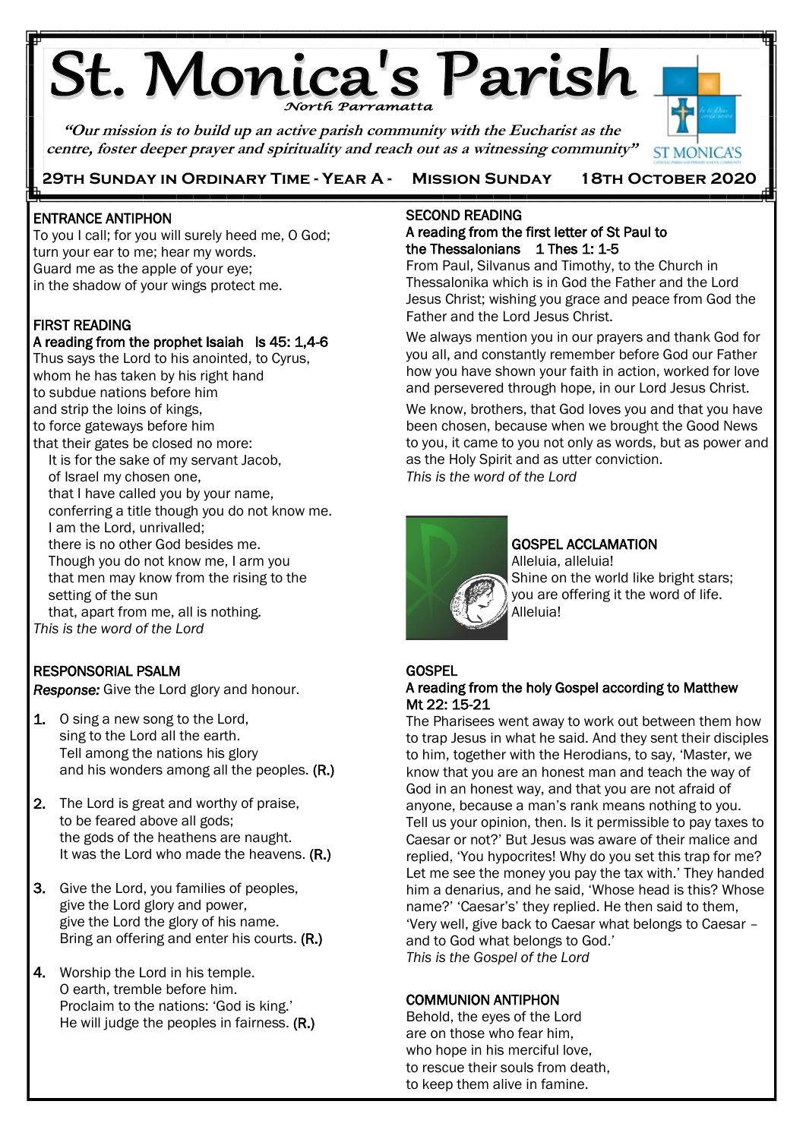# **St. Monica's Parish**

**"Our mission is to build up an active parish community with the Eucharist as the centre, foster deeper prayer and spirituality and reach out as a witnessing community"**

 **29th Sunday in Ordinary Time - Year A - Mission Sunday 18th October 2020**



Ę Ī ENTRANCE ANTIPHON

To you I call; for you will surely heed me, O God; turn your ear to me; hear my words. Guard me as the apple of your eye; in the shadow of your wings protect me.

### FIRST READING

### A reading from the prophet Isaiah Is 45: 1,4-6

Thus says the Lord to his anointed, to Cyrus, whom he has taken by his right hand to subdue nations before him and strip the loins of kings, to force gateways before him that their gates be closed no more: It is for the sake of my servant Jacob, of Israel my chosen one, that I have called you by your name, conferring a title though you do not know me. I am the Lord, unrivalled; there is no other God besides me. Though you do not know me, I arm you that men may know from the rising to the setting of the sun that, apart from me, all is nothing*.* 

*This is the word of the Lord*

### RESPONSORIAL PSALM

*Response:* Give the Lord glory and honour.

- 1. O sing a new song to the Lord, sing to the Lord all the earth. Tell among the nations his glory and his wonders among all the peoples. (R.)
- 2. The Lord is great and worthy of praise, to be feared above all gods; the gods of the heathens are naught. It was the Lord who made the heavens. (R.)
- 3. Give the Lord, you families of peoples, give the Lord glory and power, give the Lord the glory of his name. Bring an offering and enter his courts. (R.)
- 4. Worship the Lord in his temple. O earth, tremble before him. Proclaim to the nations: 'God is king.' He will judge the peoples in fairness. (R.)

### SECOND READING A reading from the first letter of St Paul to the Thessalonians 1 Thes 1: 1-5

From Paul, Silvanus and Timothy, to the Church in Thessalonika which is in God the Father and the Lord Jesus Christ; wishing you grace and peace from God the Father and the Lord Jesus Christ.

We always mention you in our prayers and thank God for you all, and constantly remember before God our Father how you have shown your faith in action, worked for love and persevered through hope, in our Lord Jesus Christ.

We know, brothers, that God loves you and that you have been chosen, because when we brought the Good News to you, it came to you not only as words, but as power and as the Holy Spirit and as utter conviction. *This is the word of the Lord*



## GOSPEL ACCLAMATION

Alleluia, alleluia! Shine on the world like bright stars; you are offering it the word of life. Alleluia!

### **GOSPEL**

### A reading from the holy Gospel according to Matthew Mt 22: 15-21

The Pharisees went away to work out between them how to trap Jesus in what he said. And they sent their disciples to him, together with the Herodians, to say, 'Master, we know that you are an honest man and teach the way of God in an honest way, and that you are not afraid of anyone, because a man's rank means nothing to you. Tell us your opinion, then. Is it permissible to pay taxes to Caesar or not?' But Jesus was aware of their malice and replied, 'You hypocrites! Why do you set this trap for me? Let me see the money you pay the tax with.' They handed him a denarius, and he said, 'Whose head is this? Whose name?' 'Caesar's' they replied. He then said to them, 'Very well, give back to Caesar what belongs to Caesar – and to God what belongs to God.' *This is the Gospel of the Lord*

### COMMUNION ANTIPHON

Behold, the eyes of the Lord are on those who fear him, who hope in his merciful love, to rescue their souls from death, to keep them alive in famine.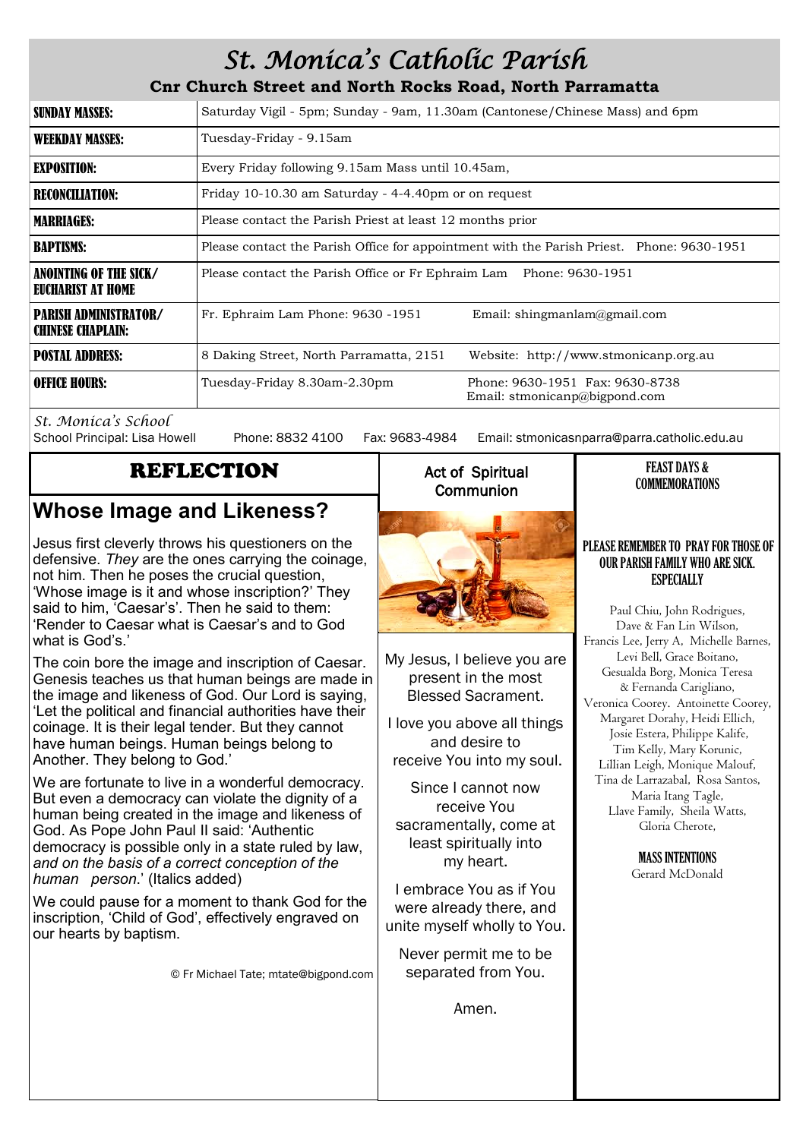# *St. Monica's Catholic Parish*

**Cnr Church Street and North Rocks Road, North Parramatta**

| <b>SUNDAY MASSES:</b>                                    | Saturday Vigil - 5pm; Sunday - 9am, 11.30am (Cantonese/Chinese Mass) and 6pm                     |  |  |
|----------------------------------------------------------|--------------------------------------------------------------------------------------------------|--|--|
| <b>WEEKDAY MASSES:</b>                                   | Tuesday-Friday - 9.15am                                                                          |  |  |
| <b>EXPOSITION:</b>                                       | Every Friday following 9.15am Mass until 10.45am,                                                |  |  |
| <b>RECONCILIATION:</b>                                   | Friday 10-10.30 am Saturday - 4-4.40pm or on request                                             |  |  |
| <b>MARRIAGES:</b>                                        | Please contact the Parish Priest at least 12 months prior                                        |  |  |
| <b>BAPTISMS:</b>                                         | Please contact the Parish Office for appointment with the Parish Priest. Phone: 9630-1951        |  |  |
| ANOINTING OF THE SICK/<br>EUCHARIST AT HOME              | Please contact the Parish Office or Fr Ephraim Lam Phone: 9630-1951                              |  |  |
| <b>PARISH ADMINISTRATOR/</b><br><b>CHINESE CHAPLAIN:</b> | Fr. Ephraim Lam Phone: 9630 -1951<br>Email: shingmanlam@gmail.com                                |  |  |
| <b>POSTAL ADDRESS:</b>                                   | 8 Daking Street, North Parramatta, 2151<br>Website: http://www.stmonicanp.org.au                 |  |  |
| <b>OFFICE HOURS:</b>                                     | Tuesday-Friday 8.30am-2.30pm<br>Phone: 9630-1951 Fax: 9630-8738<br>Email: stmonicanp@bigpond.com |  |  |

*St. Monica's School*

Phone: 8832 4100 Fax: 9683-4984 Email: stmonicasnparra@parra.catholic.edu.au

### REFLECTION

# **Whose Image and Likeness?**

Jesus first cleverly throws his questioners on the defensive. *They* are the ones carrying the coinage, not him. Then he poses the crucial question, 'Whose image is it and whose inscription?' They said to him, 'Caesar's'. Then he said to them: 'Render to Caesar what is Caesar's and to God what is God's.'

The coin bore the image and inscription of Caesar. Genesis teaches us that human beings are made in the image and likeness of God. Our Lord is saying, 'Let the political and financial authorities have their coinage. It is their legal tender. But they cannot have human beings. Human beings belong to Another. They belong to God.'

We are fortunate to live in a wonderful democracy. But even a democracy can violate the dignity of a human being created in the image and likeness of God. As Pope John Paul II said: 'Authentic democracy is possible only in a state ruled by law, *and on the basis of a correct conception of the human person*.' (Italics added)

We could pause for a moment to thank God for the inscription, 'Child of God', effectively engraved on our hearts by baptism.

© Fr Michael Tate; mtate@bigpond.com

### Act of Spiritual **Communion**



My Jesus, I believe you are present in the most Blessed Sacrament.

I love you above all things and desire to receive You into my soul.

Since I cannot now receive You sacramentally, come at least spiritually into my heart.

I embrace You as if You were already there, and unite myself wholly to You.

Never permit me to be separated from You.

Amen.

# COMMEMORATIONS

FEAST DAYS &

### PLEASE REMEMBER TO PRAY FOR THOSE OF OUR PARISH FAMILY WHO ARE SICK. **ESPECIALLY**

Paul Chiu, John Rodrigues, Dave & Fan Lin Wilson, Francis Lee, Jerry A, Michelle Barnes, Levi Bell, Grace Boitano, Gesualda Borg, Monica Teresa & Fernanda Carigliano, Veronica Coorey. Antoinette Coorey, Margaret Dorahy, Heidi Ellich, Josie Estera, Philippe Kalife, Tim Kelly, Mary Korunic, Lillian Leigh, Monique Malouf, Tina de Larrazabal, Rosa Santos, Maria Itang Tagle, Llave Family, Sheila Watts, Gloria Cherote,

> MASS INTENTIONS Gerard McDonald